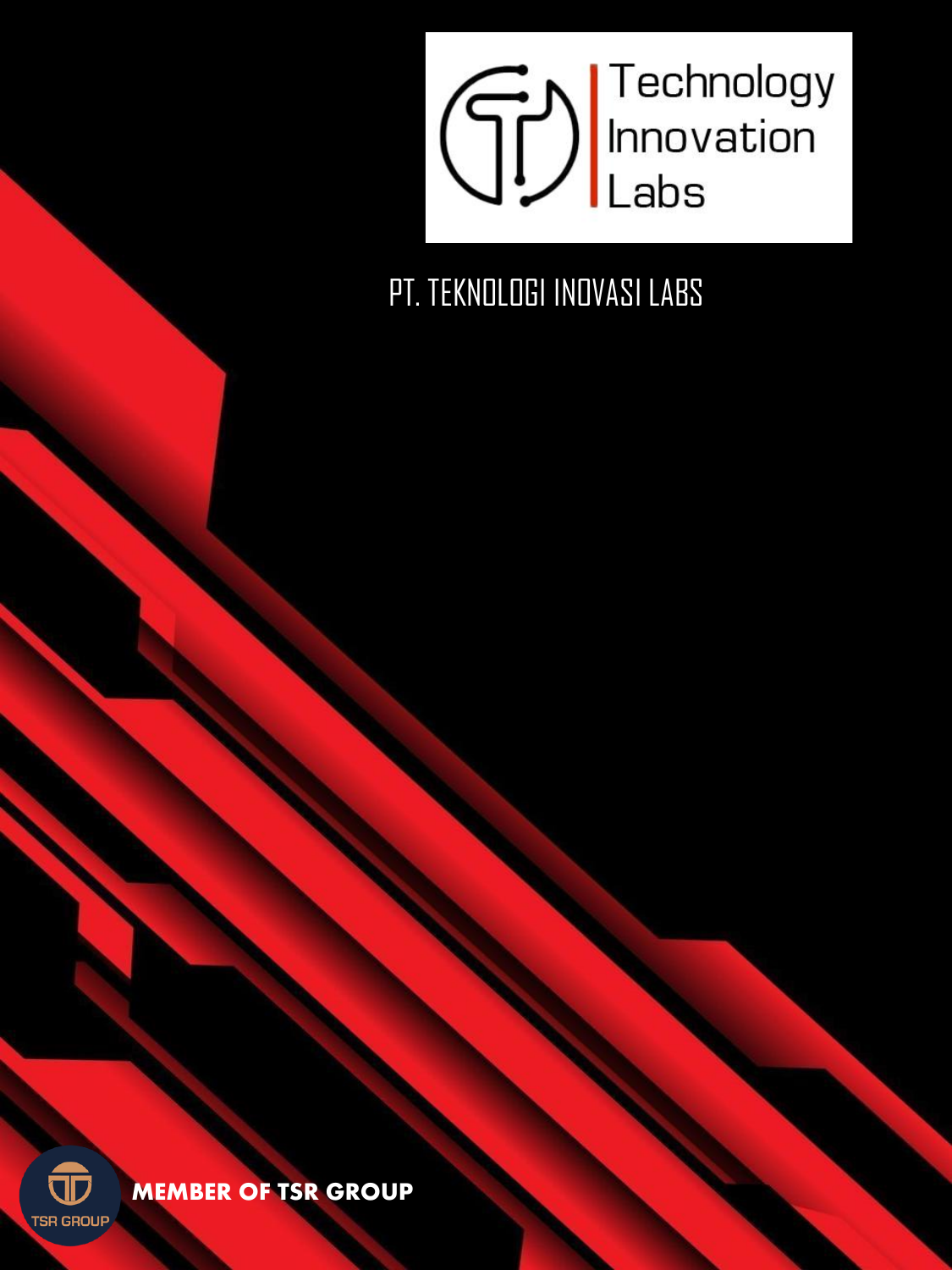

PT. TEKNOLOGI INOVASI LABS



#### **MEMBER OF TSR GROUP**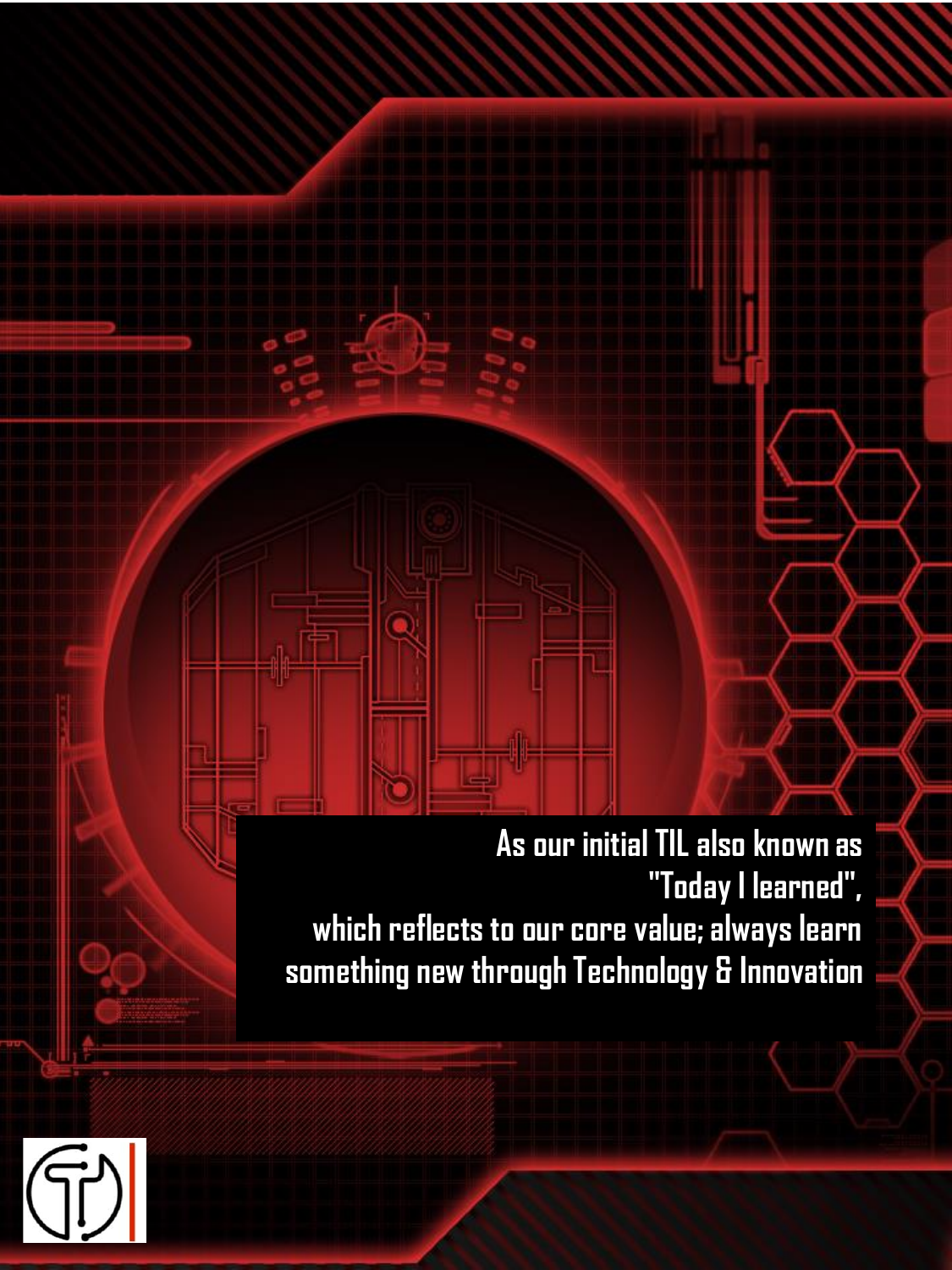**As our initial TIL also known as "Today I learned", which reflects to our core value; always learn something new through Technology & Innovation**

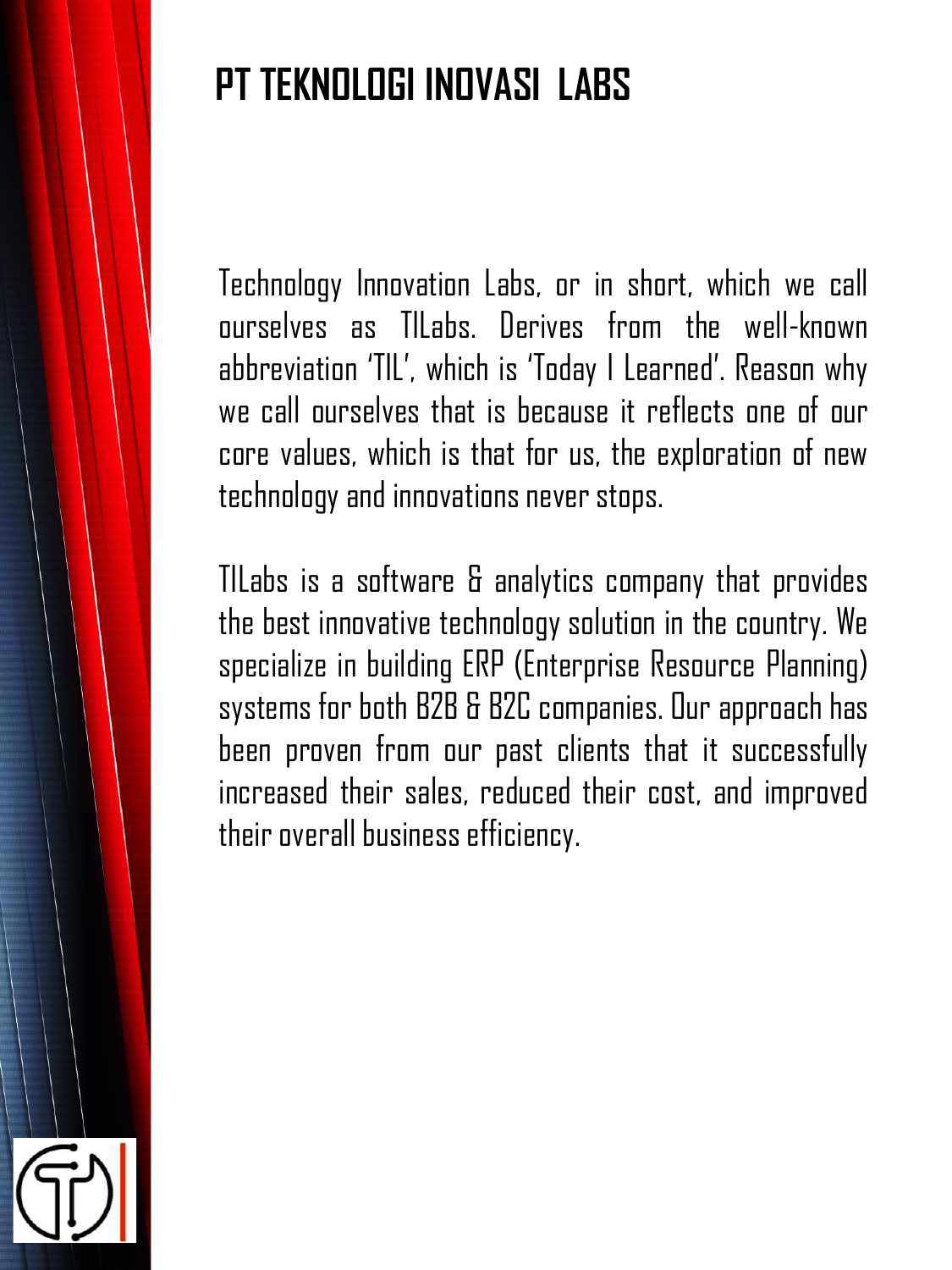## **PT TEKNOLOGI INOVASI LABS**

Technology Innovation Labs, or in short, which we call ourselves as TILabs. Derives from the well-known abbreviation 'TIL', which is 'Today I Learned'. Reason why we call ourselves that is because it reflects one of our core values, which is that for us, the exploration of new technology and innovations never stops.

TILabs is a software & analytics company that provides the best innovative technology solution in the country. We specialize in building ERP (Enterprise Resource Planning) systems for both B2B & B2C companies. Our approach has been proven from our past clients that it successfully increased their sales, reduced their cost, and improved their overall business efficiency.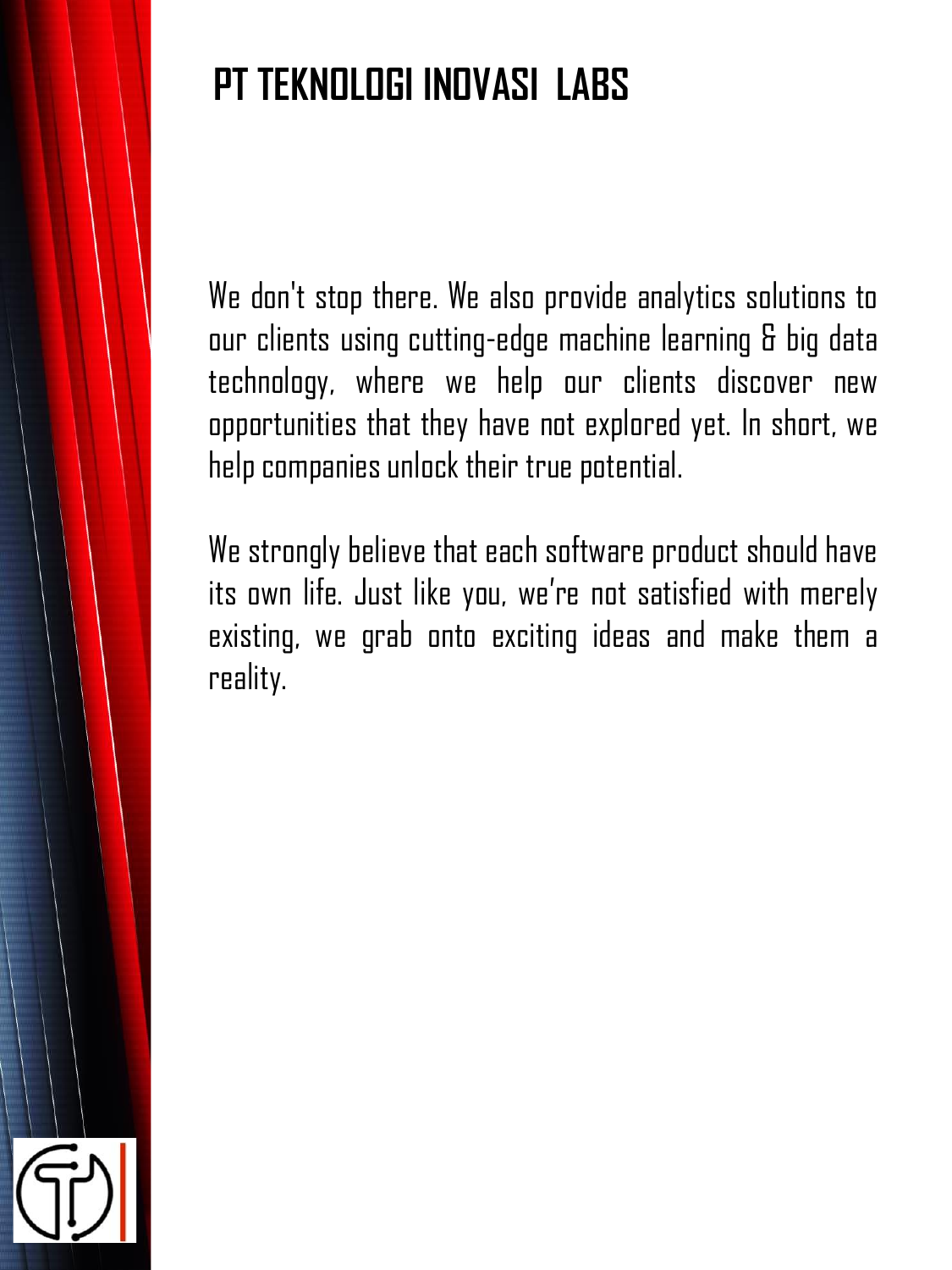## **PT TEKNOLOGI INOVASI LABS**

We don't stop there. We also provide analytics solutions to our clients using cutting-edge machine learning & big data technology, where we help our clients discover new opportunities that they have not explored yet. In short, we help companies unlock their true potential.

We strongly believe that each software product should have its own life. Just like you, we're not satisfied with merely existing, we grab onto exciting ideas and make them a reality.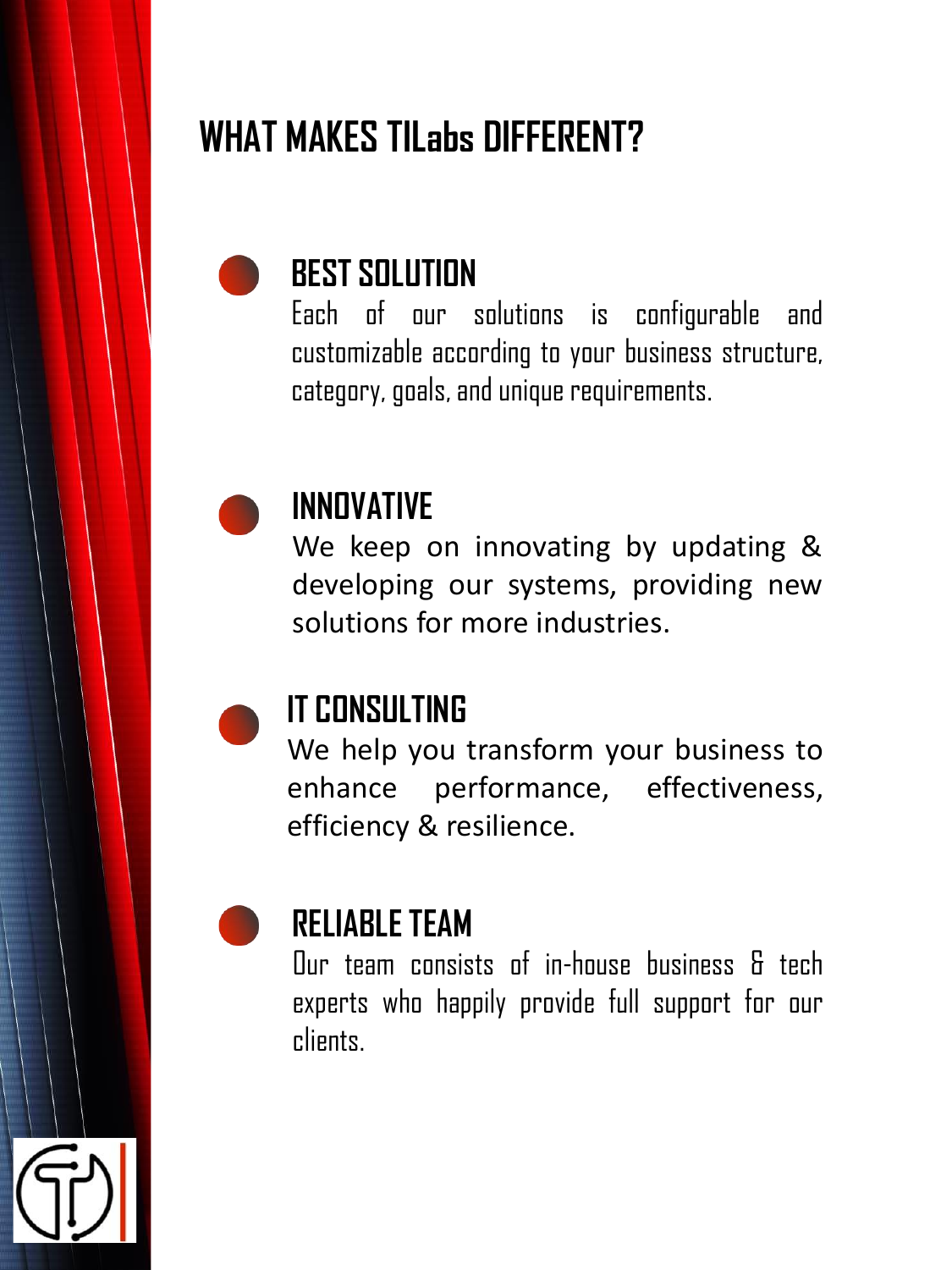### **WHAT MAKES TILabs DIFFERENT?**



Each of our solutions is configurable and customizable according to your business structure, category, goals, and unique requirements.



#### **INNOVATIVE**

We keep on innovating by updating & developing our systems, providing new solutions for more industries.

### **IT CONSULTING**

We help you transform your business to enhance performance, effectiveness, efficiency & resilience.



### **RELIABLETEAM**

Our team consists of in-house business & tech experts who happily provide full support for our clients.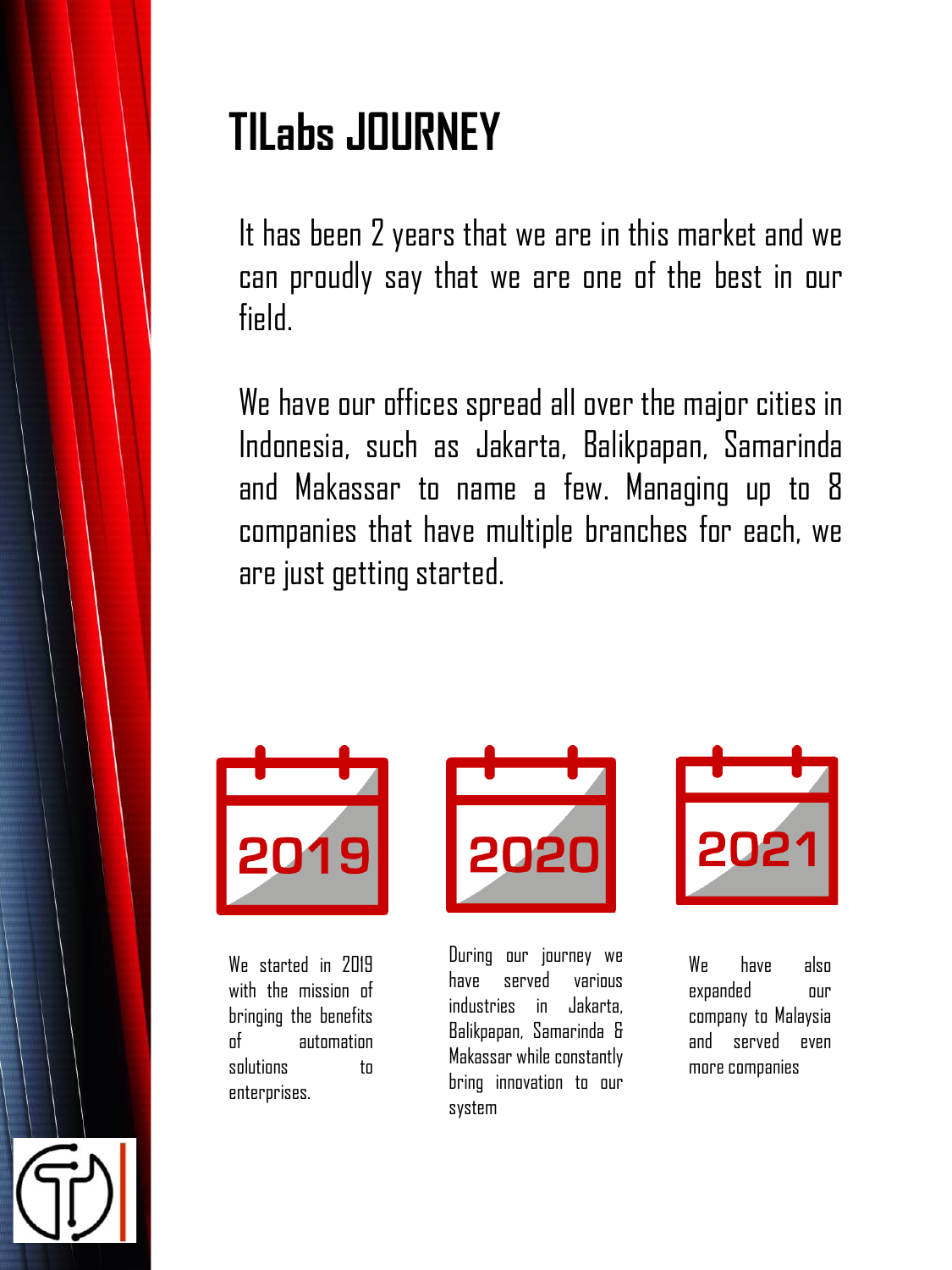# **TILabs JOURNEY**

It has been 2 years that we are in this market and we can proudly say that we are one of the best in our field.

We have our offices spread all over the major cities in Indonesia, such as Jakarta, Balikpapan, Samarinda and Makassar to name a few. Managing up to 8 companies that have multiple branches for each, we are just getting started.



We started in 2019 with the mission of bringing the benefits of automation solutions to enterprises.



During our journey we have served various industries in Jakarta, Balikpapan, Samarinda & Makassar while constantly bring innovation to our system



We have also expanded our company to Malaysia and served even more companies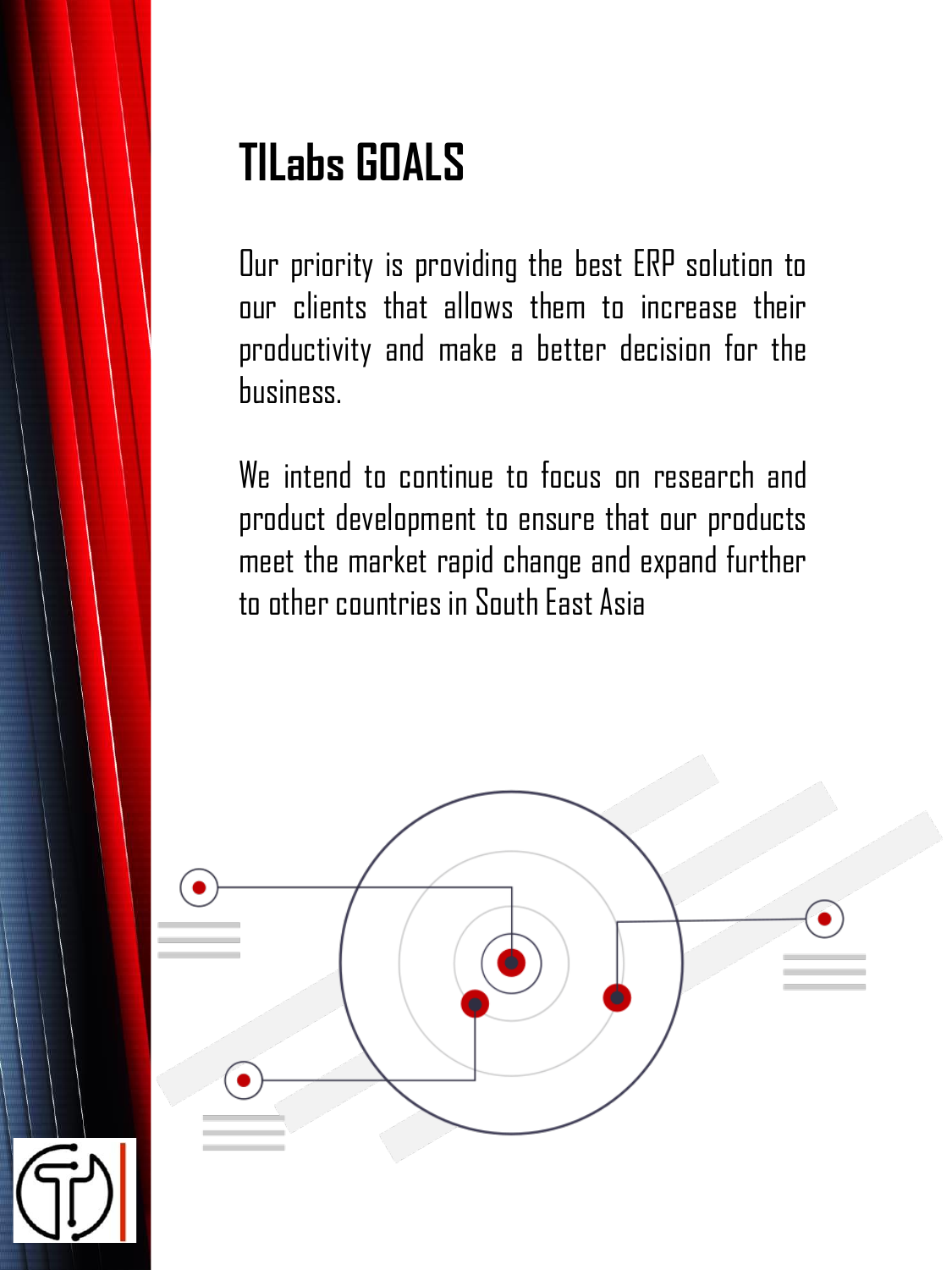# **TILabs GOALS**

Our priority is providing the best ERP solution to our clients that allows them to increase their productivity and make a better decision for the business.

We intend to continue to focus on research and product development to ensure that our products meet the market rapid change and expand further to other countries in South East Asia

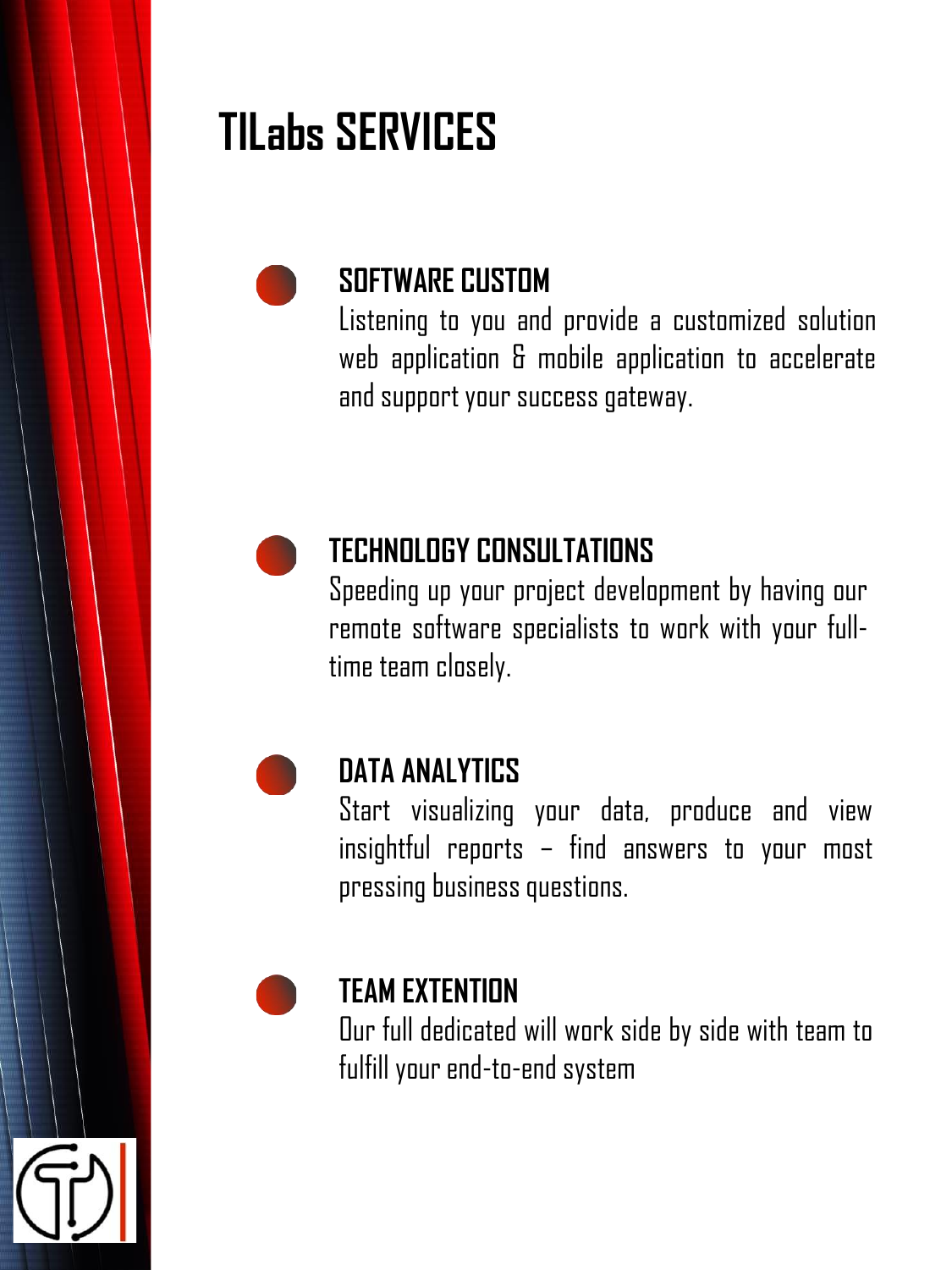# **TILabs SERVICES**



### **SOFTWARE CUSTOM**

Listening to you and provide a customized solution web application & mobile application to accelerate and support your success gateway.



### **TECHNOLOGY CONSULTATIONS**

Speeding up your project development by having our remote software specialists to work with your fulltime team closely.



#### **DATA ANALYTICS**

Start visualizing your data, produce and view insightful reports – find answers to your most pressing businessquestions.



#### **TEAM EXTENTION**

Our full dedicated will work side by side with team to fulfill your end-to-end system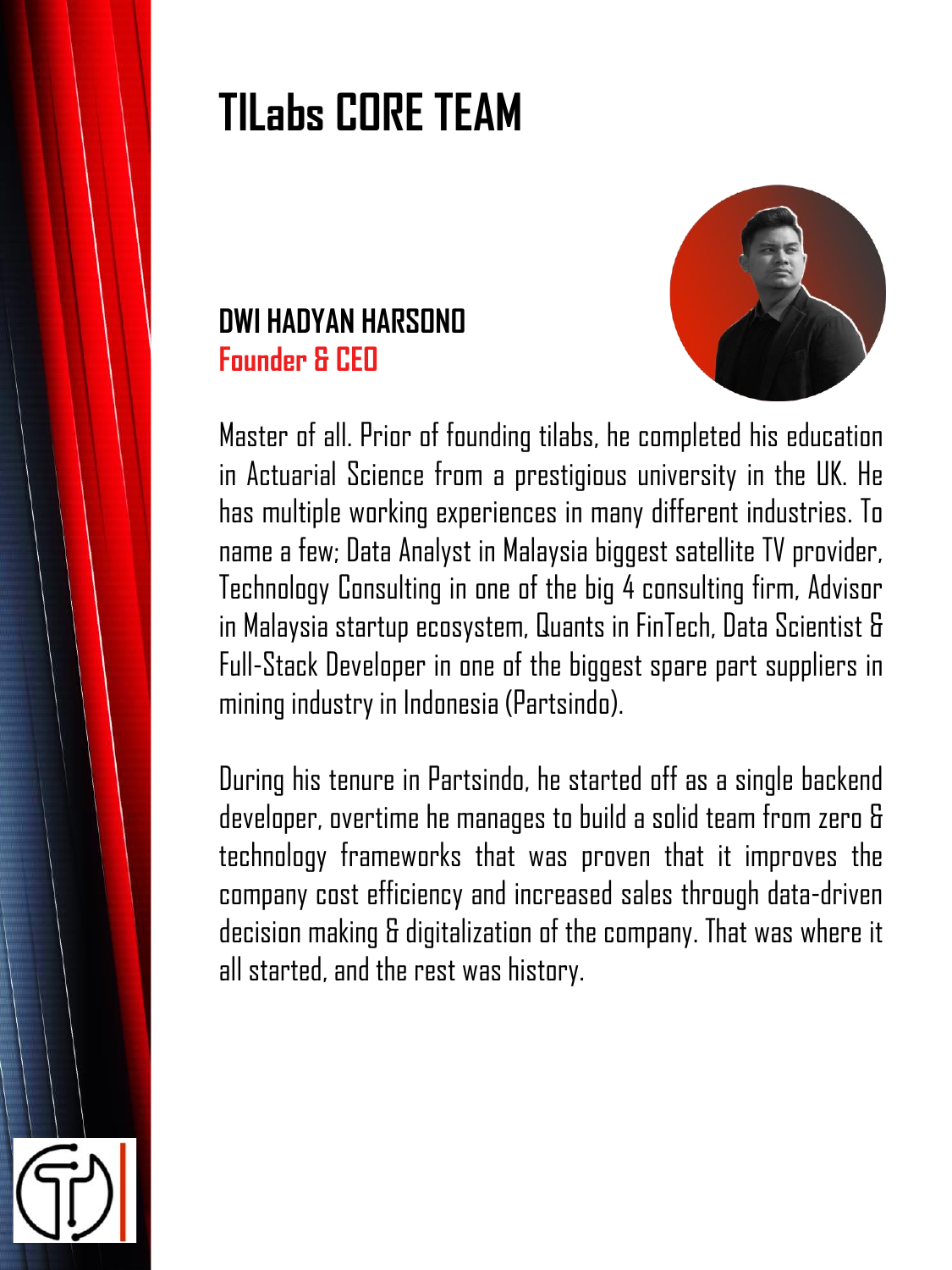# **TILabs CORE TEAM**





Master of all. Prior of founding tilabs, he completed his education in Actuarial Science from a prestigious university in the UK. He has multiple working experiences in many different industries. To name a few; Data Analyst in Malaysia biggest satellite TV provider, Technology Consulting in one of the big 4 consulting firm, Advisor in Malaysia startup ecosystem, Quants in FinTech, Data Scientist & Full-Stack Developer in one of the biggest spare part suppliers in mining industry in Indonesia (Partsindo).

During his tenure in Partsindo, he started off as a single backend developer, overtime he manages to build a solid team from zero & technology frameworks that was proven that it improves the company cost efficiency and increased sales through data-driven decision making & digitalization of the company. That was where it all started, and the rest was history.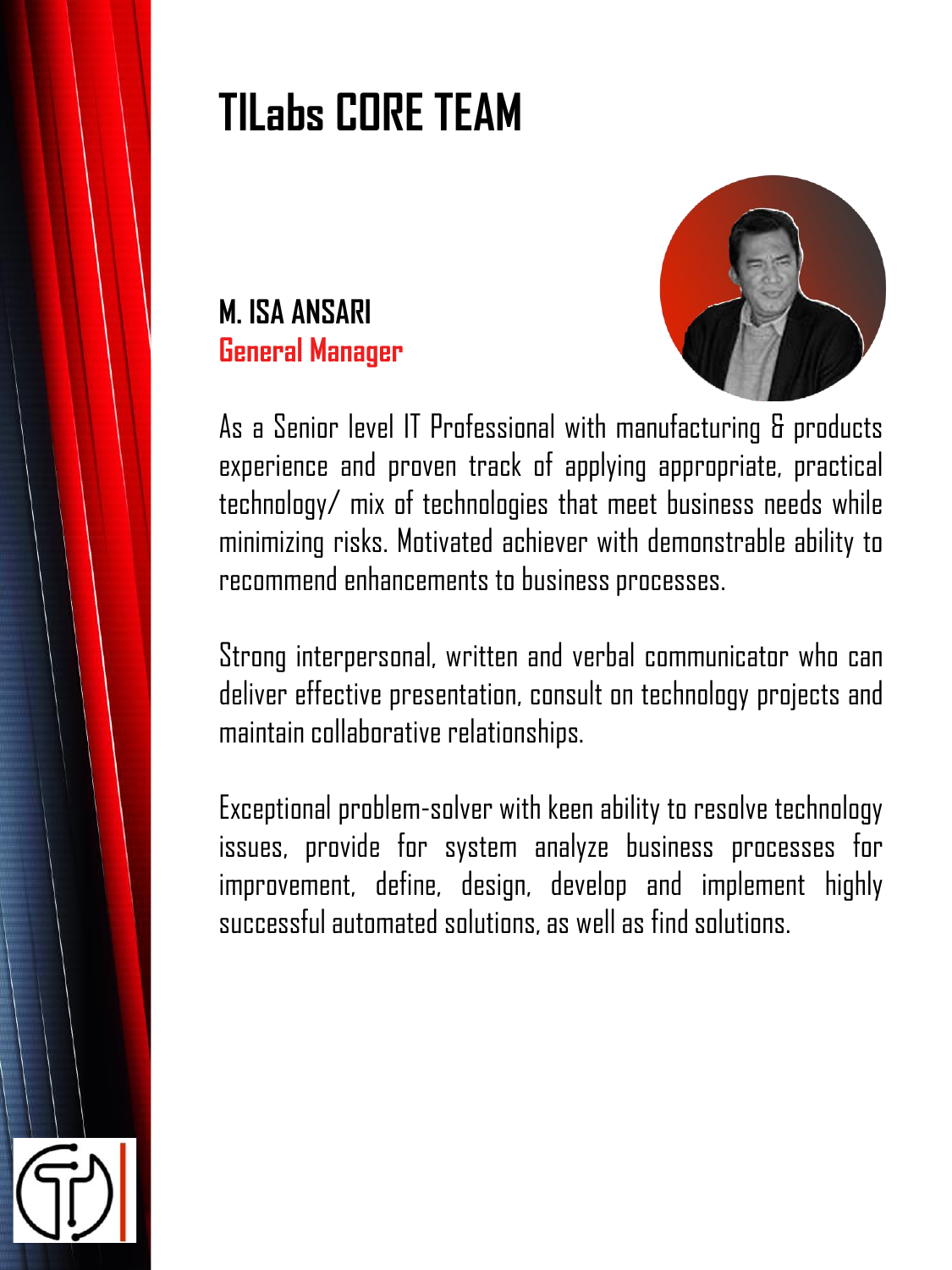# **TILabs CORE TEAM**





As a Senior level IT Professional with manufacturing & products experience and proven track of applying appropriate, practical technology/ mix of technologies that meet business needs while minimizing risks. Motivated achiever with demonstrable ability to recommend enhancements to business processes.

Strong interpersonal, written and verbal communicator who can deliver effective presentation, consult on technology projects and maintain collaborative relationships.

Exceptional problem-solver with keen ability to resolve technology issues, provide for system analyze business processes for improvement, define, design, develop and implement highly successful automated solutions, as well as find solutions.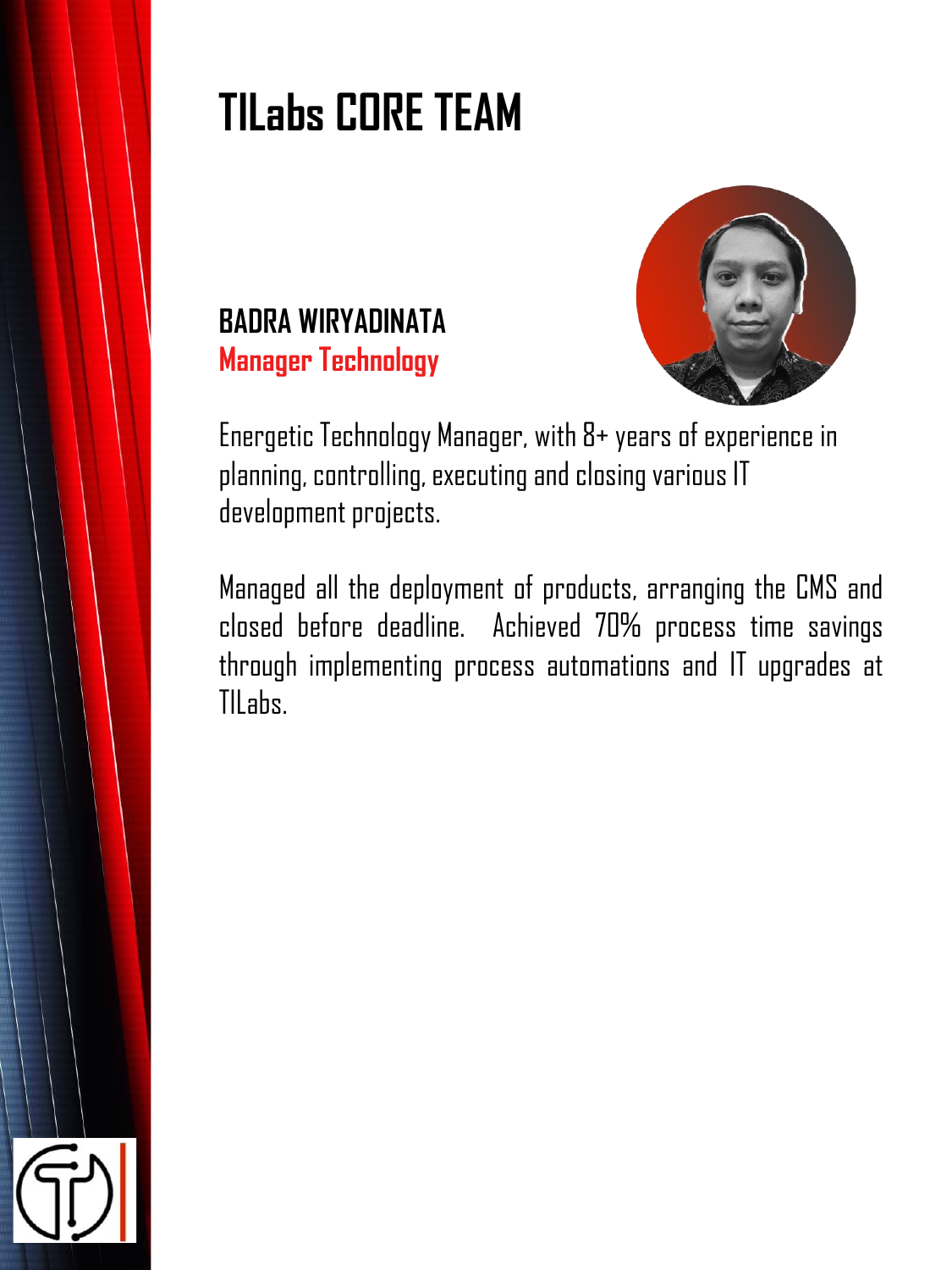# **TILabs CORE TEAM**



### **BADRA WIRYADINATA Manager Technology**

Energetic Technology Manager, with 8+ years of experience in planning, controlling, executing and closing various IT development projects.

Managed all the deployment of products, arranging the CMS and closed before deadline. Achieved 70% process time savings through implementing process automations and IT upgrades at TILabs.

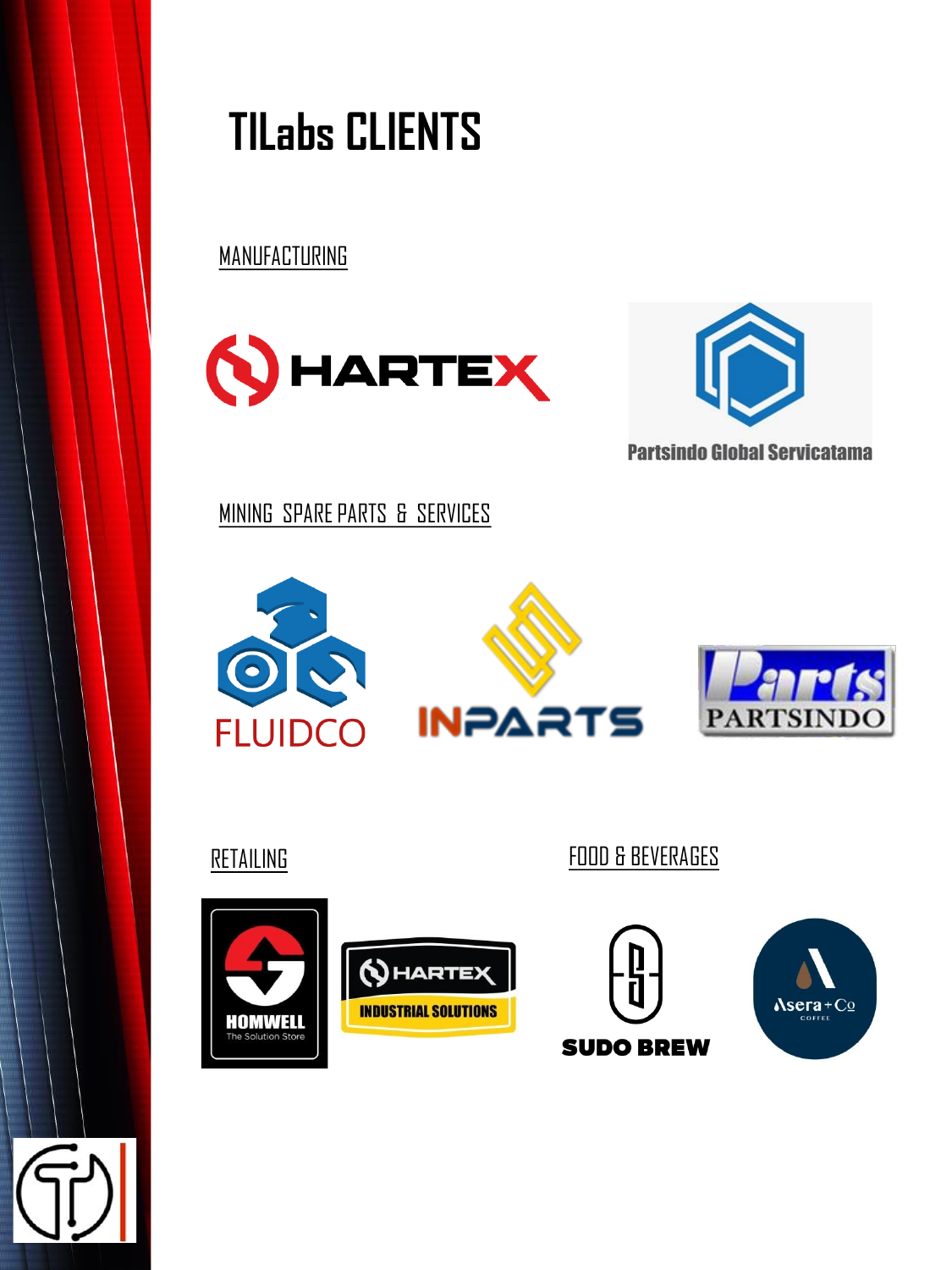# **TILabs CLIENTS**

MANUFACTURING





MINING SPARE PARTS & SERVICES





RETAILING **FOOD & BEVERAGES** 





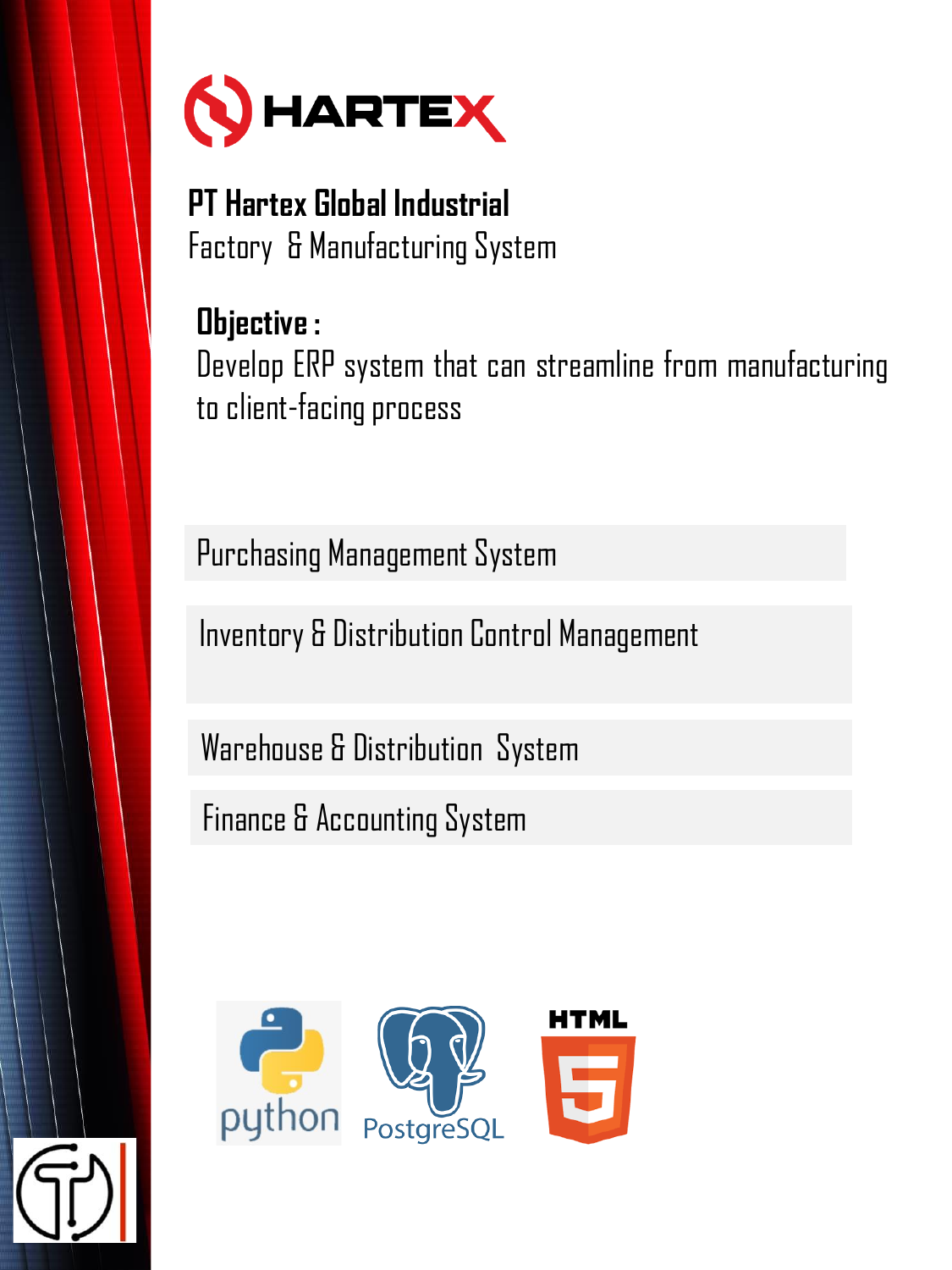

**PT Hartex Global Industrial** Factory & Manufacturing System

### **Objective :** Develop ERP system that can streamline from manufacturing to client-facing process

Purchasing Management System

Inventory & Distribution Control Management

Warehouse & Distribution System

Finance & Accounting System

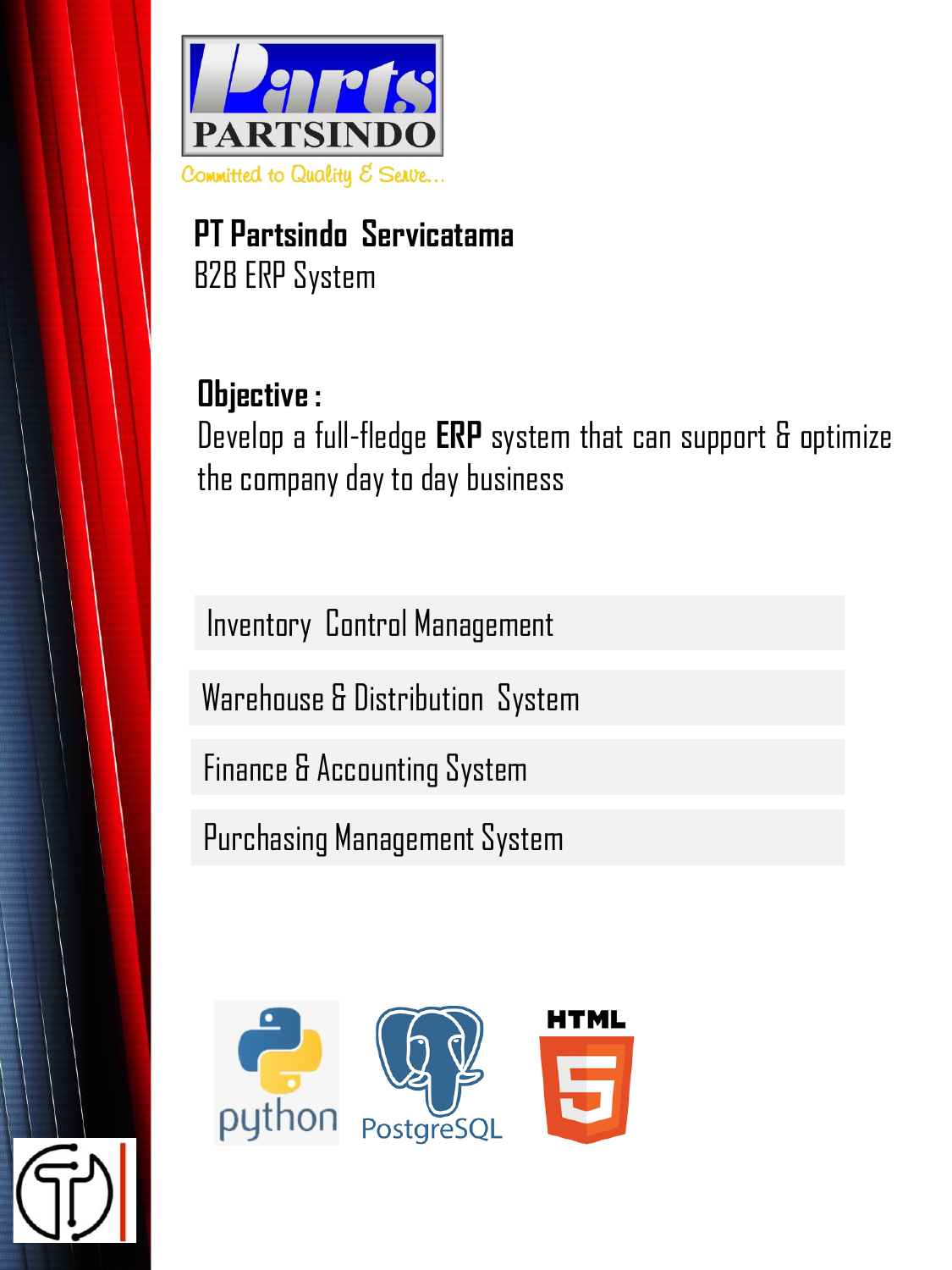

**PT Partsindo Servicatama** B2B ERP System

**Objective :** Develop a full-fledge **ERP** system that can support & optimize the company day to day business

Inventory Control Management Warehouse & Distribution System

Finance & Accounting System

Purchasing Management System

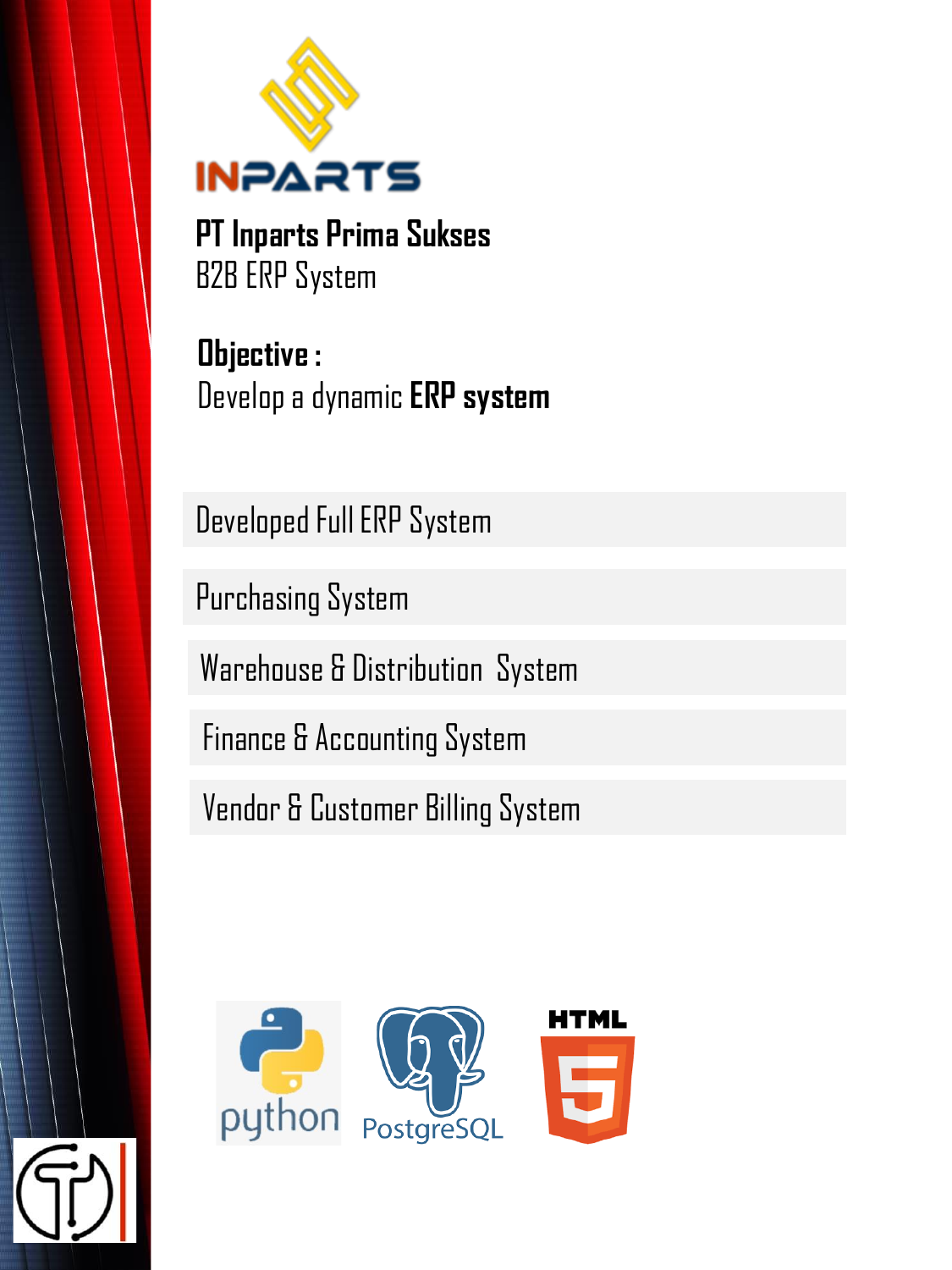

**PT Inparts Prima Sukses** B2B ERP System

**Objective :**  Develop a dynamic **ERP system**

Developed Full ERP System

Purchasing System

Warehouse & Distribution System

Finance & Accounting System

Vendor & Customer Billing System

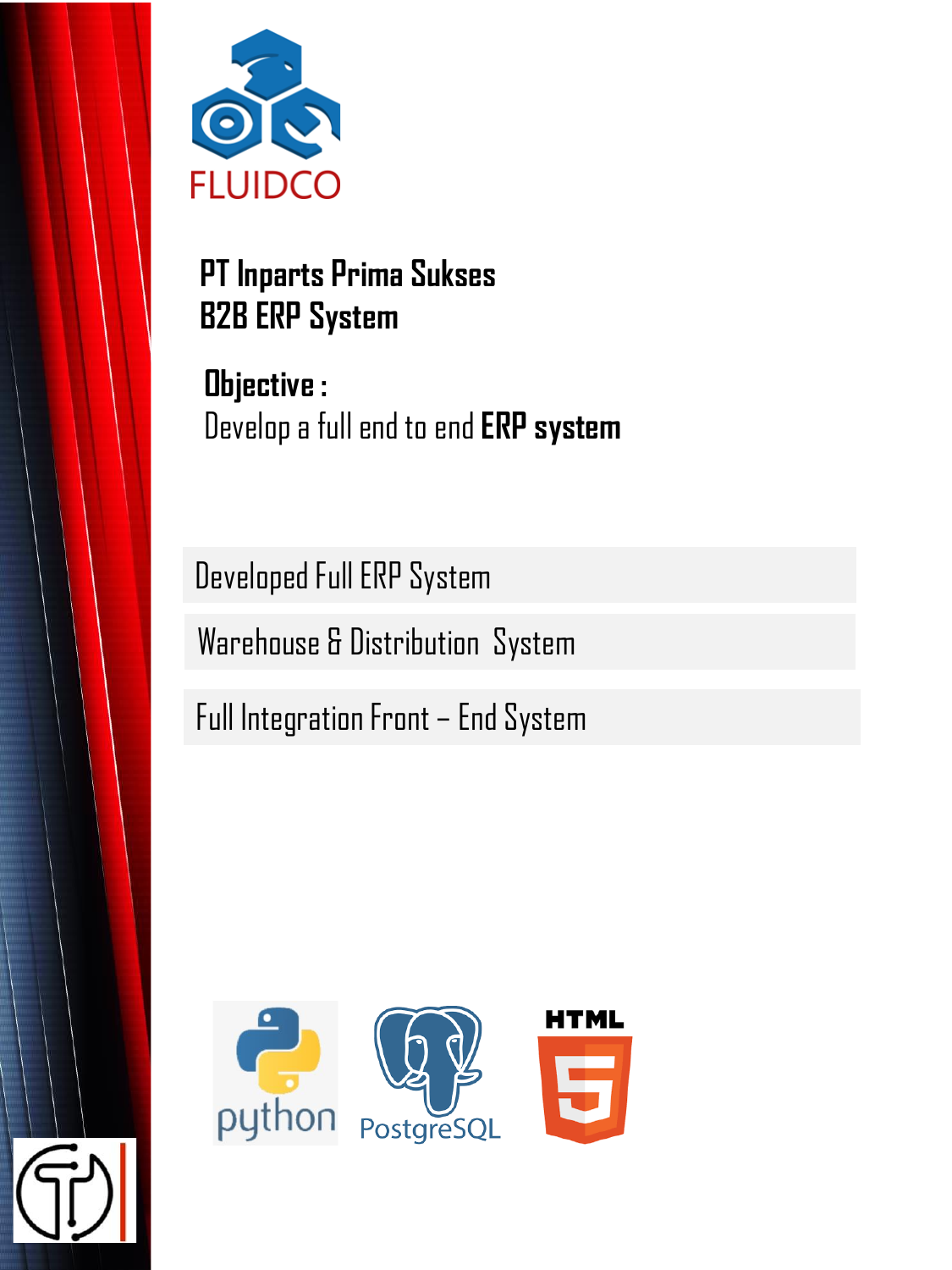

**PT Inparts Prima Sukses B2B ERP System** 

**Objective :**  Develop a full end to end **ERP system**

Developed Full ERP System

Warehouse & Distribution System

Full Integration Front – End System

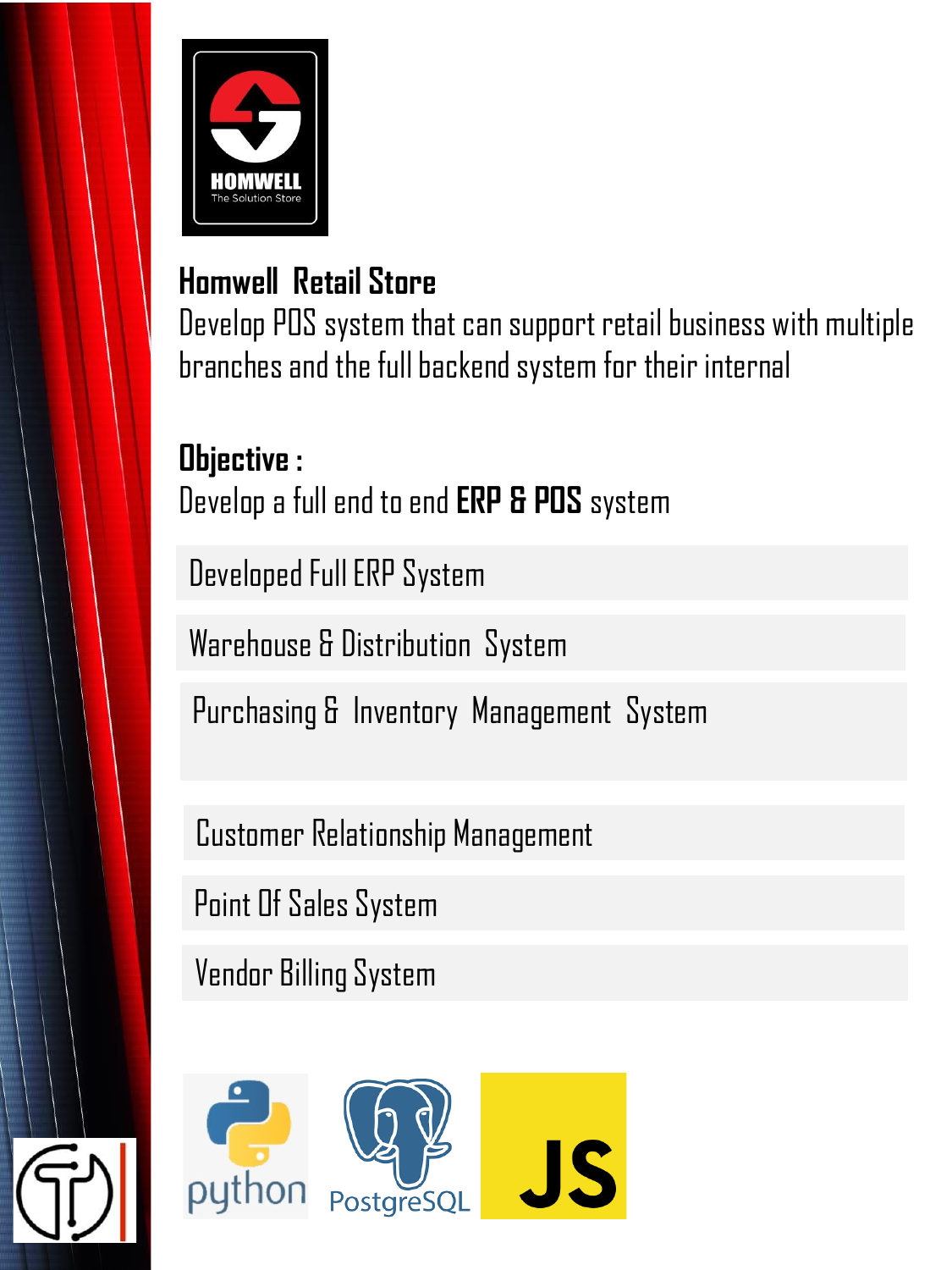

### **Homwell Retail Store**

Develop POS system that can support retail business with multiple branches and the full backend system for their internal

### **Objective :**

Develop a full end to end **ERP & POS** system

Developed Full ERP System

Warehouse & Distribution System

Purchasing & Inventory Management System

Customer Relationship Management

Point Of Sales System

Vendor Billing System

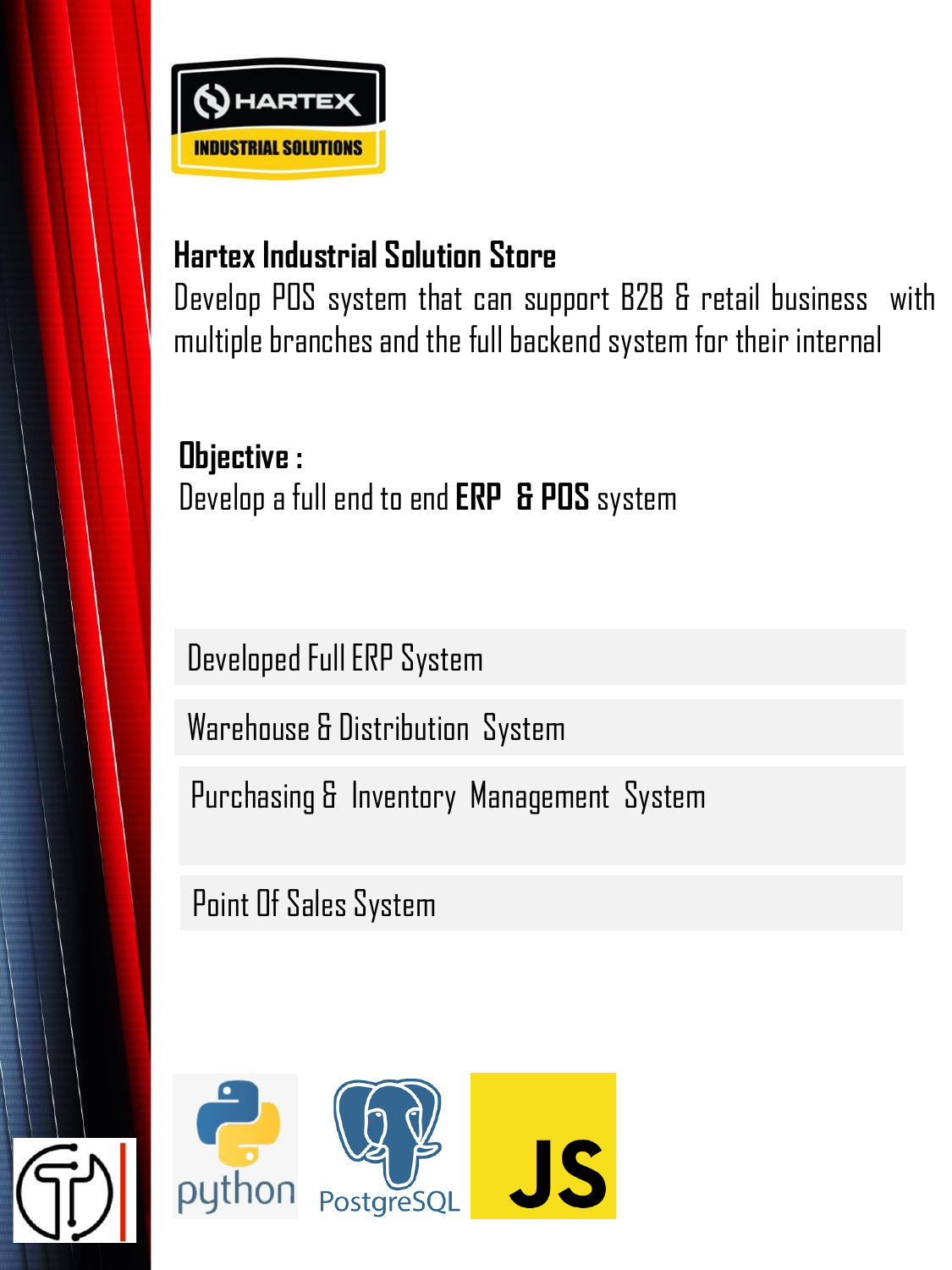

### **Hartex Industrial Solution Store**

Develop POS system that can support B2B & retail business with multiple branches and the full backend system for their internal

**Objective :** Developa fullendto end**ERP & POS** system

Developed Full ERP System

Warehouse & Distribution System

Purchasing & Inventory Management System

Point Of Sales System

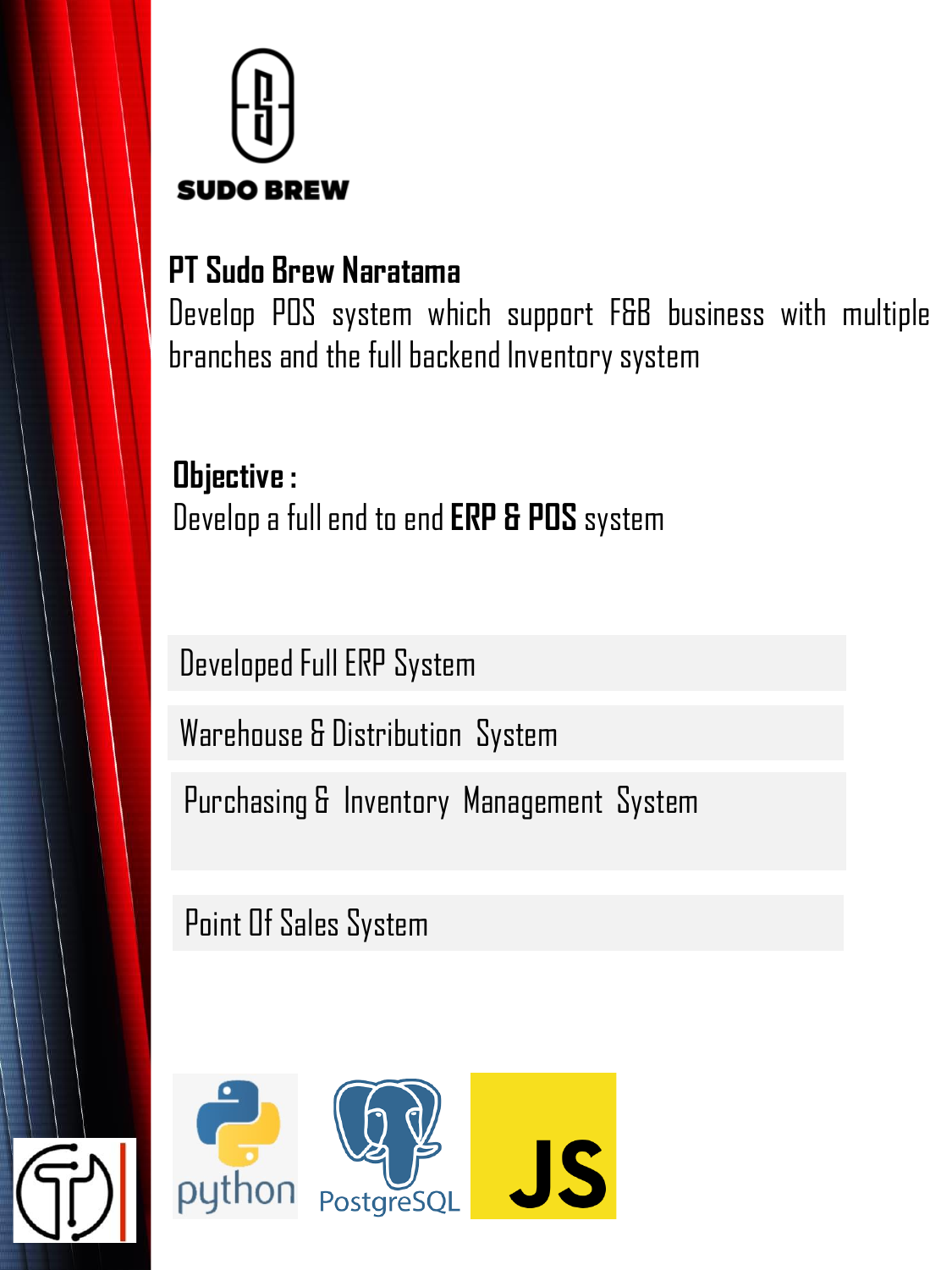

### **PT Sudo Brew Naratama**

Develop POS system which support F&B business with multiple branches and the full backend Inventory system

**Objective :** Developa fullendto end**ERP & POS** system

Developed Full ERP System

Warehouse & Distribution System

Purchasing & Inventory Management System

Point Of Sales System

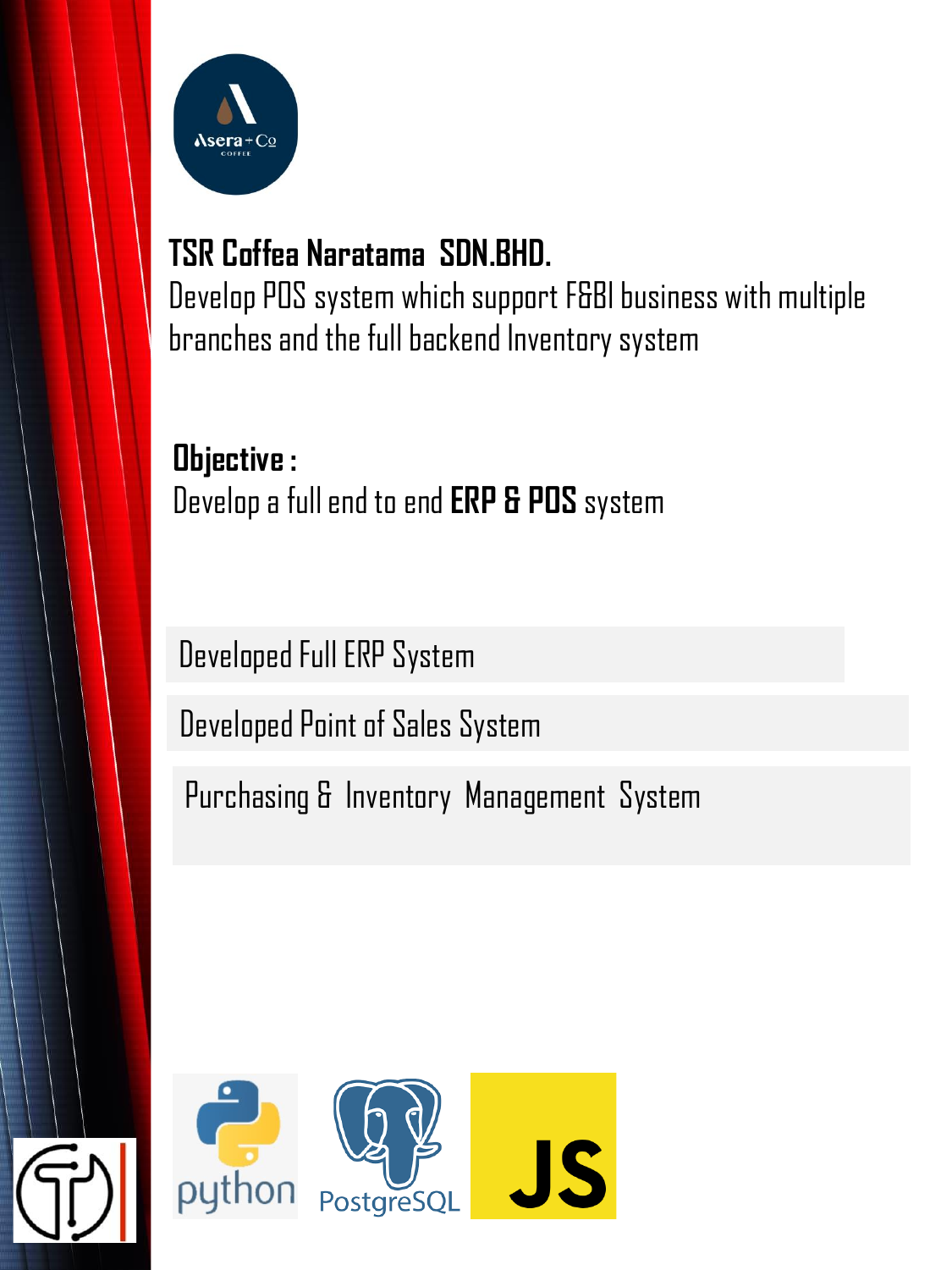

### **TSR Coffea Naratama SDN.BHD.**

Develop POS system which support F&Bl business with multiple branches and the full backend Inventory system

**Objective :**  Develop a full end to end **ERP & POS** system

Developed Full ERP System

Developed Point of Sales System

Purchasing & Inventory Management System

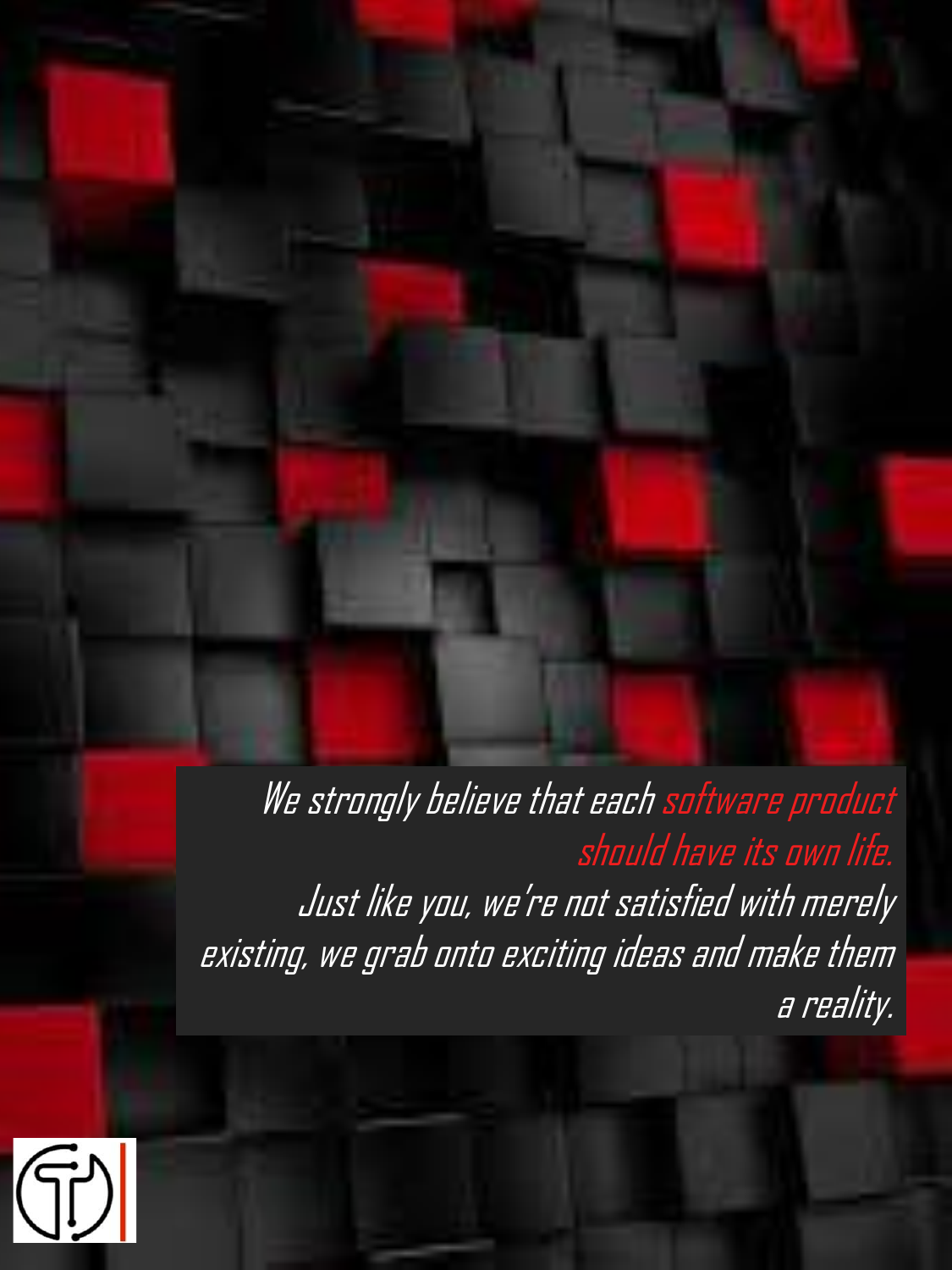We strongly believe that each software product should have its own life. Just like you, we're not satisfied with merely existing, we grab onto exciting ideas and make them a reality.

 $\left|\widehat{\mathbb{G}}\right|$